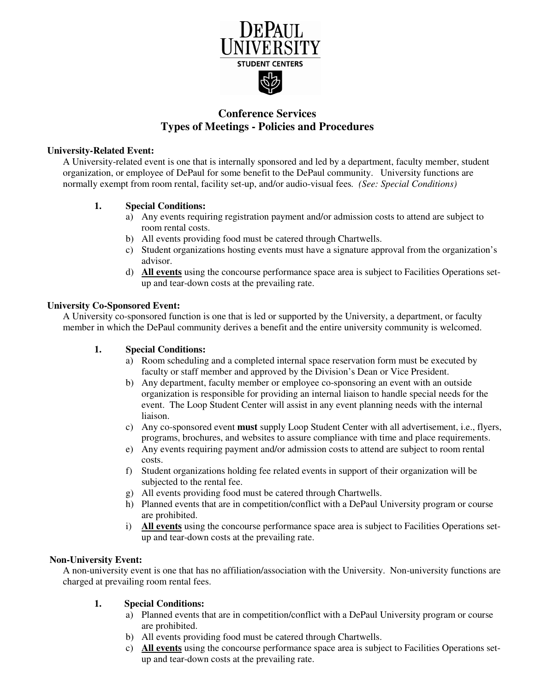

# **Conference Services Types of Meetings - Policies and Procedures**

### **University-Related Event:**

A University-related event is one that is internally sponsored and led by a department, faculty member, student organization, or employee of DePaul for some benefit to the DePaul community. University functions are normally exempt from room rental, facility set-up, and/or audio-visual fees*. (See: Special Conditions)* 

# **1. Special Conditions:**

- a) Any events requiring registration payment and/or admission costs to attend are subject to room rental costs.
- b) All events providing food must be catered through Chartwells.
- c) Student organizations hosting events must have a signature approval from the organization's advisor.
- d) **All events** using the concourse performance space area is subject to Facilities Operations setup and tear-down costs at the prevailing rate.

### **University Co-Sponsored Event:**

A University co-sponsored function is one that is led or supported by the University, a department, or faculty member in which the DePaul community derives a benefit and the entire university community is welcomed.

# **1. Special Conditions:**

- a) Room scheduling and a completed internal space reservation form must be executed by faculty or staff member and approved by the Division's Dean or Vice President.
- b) Any department, faculty member or employee co-sponsoring an event with an outside organization is responsible for providing an internal liaison to handle special needs for the event. The Loop Student Center will assist in any event planning needs with the internal liaison.
- c) Any co-sponsored event **must** supply Loop Student Center with all advertisement, i.e., flyers, programs, brochures, and websites to assure compliance with time and place requirements.
- e) Any events requiring payment and/or admission costs to attend are subject to room rental costs.
- f) Student organizations holding fee related events in support of their organization will be subjected to the rental fee.
- g) All events providing food must be catered through Chartwells.
- h) Planned events that are in competition/conflict with a DePaul University program or course are prohibited.
- i) **All events** using the concourse performance space area is subject to Facilities Operations setup and tear-down costs at the prevailing rate.

# **Non-University Event:**

A non-university event is one that has no affiliation/association with the University. Non-university functions are charged at prevailing room rental fees.

# **1. Special Conditions:**

- a) Planned events that are in competition/conflict with a DePaul University program or course are prohibited.
- b) All events providing food must be catered through Chartwells.
- c) **All events** using the concourse performance space area is subject to Facilities Operations setup and tear-down costs at the prevailing rate.